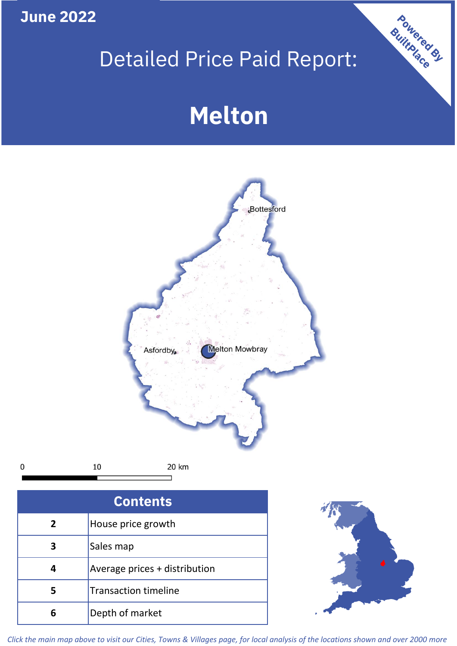**June 2022**

 $\pmb{0}$ 

# Detailed Price Paid Report:

# **Melton**



| <b>Contents</b> |                               |  |  |
|-----------------|-------------------------------|--|--|
| 2               | House price growth            |  |  |
| 3               | Sales map                     |  |  |
|                 | Average prices + distribution |  |  |
|                 | <b>Transaction timeline</b>   |  |  |
|                 | Depth of market               |  |  |



Powered By

*Click the main map above to visit our Cities, Towns & Villages page, for local analysis of the locations shown and over 2000 more*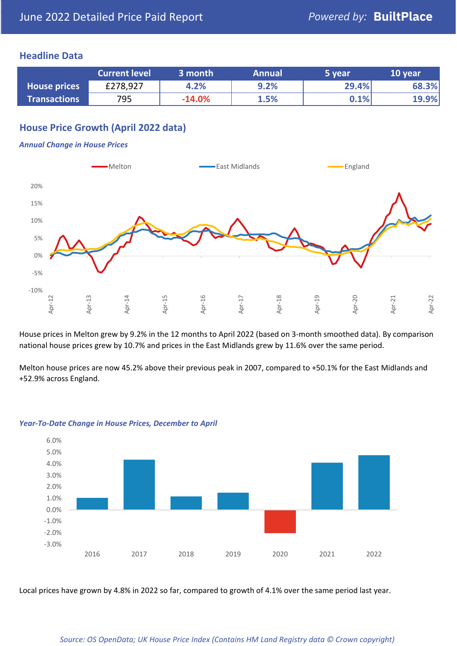### **Headline Data**

|                     | <b>Current level</b> | 3 month  | <b>Annual</b> | 5 year  | 10 year |
|---------------------|----------------------|----------|---------------|---------|---------|
| <b>House prices</b> | £278,927             | 4.2%     | 9.2%          | 29.4%   | 68.3%   |
| <b>Transactions</b> | 795                  | $-14.0%$ | 1.5%          | $0.1\%$ | 19.9%   |

# **House Price Growth (April 2022 data)**

#### *Annual Change in House Prices*



House prices in Melton grew by 9.2% in the 12 months to April 2022 (based on 3-month smoothed data). By comparison national house prices grew by 10.7% and prices in the East Midlands grew by 11.6% over the same period.

Melton house prices are now 45.2% above their previous peak in 2007, compared to +50.1% for the East Midlands and +52.9% across England.



#### *Year-To-Date Change in House Prices, December to April*

Local prices have grown by 4.8% in 2022 so far, compared to growth of 4.1% over the same period last year.

#### *Source: OS OpenData; UK House Price Index (Contains HM Land Registry data © Crown copyright)*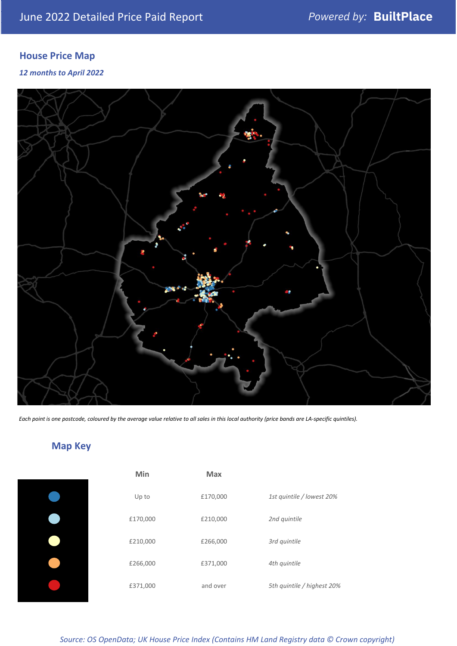# **House Price Map**

*12 months to April 2022*



*Each point is one postcode, coloured by the average value relative to all sales in this local authority (price bands are LA-specific quintiles).*

# **Map Key**

| 1st quintile / lowest 20%  |
|----------------------------|
|                            |
|                            |
|                            |
| 5th quintile / highest 20% |
|                            |

*Source: OS OpenData; UK House Price Index (Contains HM Land Registry data © Crown copyright)*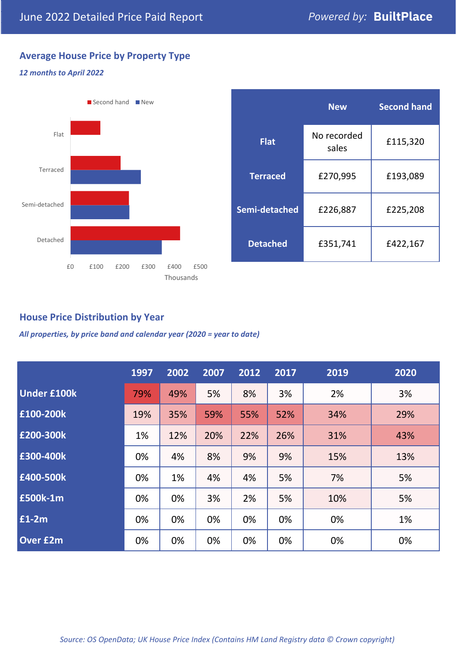# **Average House Price by Property Type**

#### *12 months to April 2022*



|                 | <b>New</b>           | <b>Second hand</b> |  |
|-----------------|----------------------|--------------------|--|
| <b>Flat</b>     | No recorded<br>sales | £115,320           |  |
| <b>Terraced</b> | £270,995             | £193,089           |  |
| Semi-detached   | £226,887             | £225,208           |  |
| <b>Detached</b> | £351,741             | £422,167           |  |

# **House Price Distribution by Year**

*All properties, by price band and calendar year (2020 = year to date)*

|                    | 1997 | 2002 | 2007 | 2012 | 2017 | 2019 | 2020 |
|--------------------|------|------|------|------|------|------|------|
| <b>Under £100k</b> | 79%  | 49%  | 5%   | 8%   | 3%   | 2%   | 3%   |
| £100-200k          | 19%  | 35%  | 59%  | 55%  | 52%  | 34%  | 29%  |
| E200-300k          | 1%   | 12%  | 20%  | 22%  | 26%  | 31%  | 43%  |
| £300-400k          | 0%   | 4%   | 8%   | 9%   | 9%   | 15%  | 13%  |
| £400-500k          | 0%   | 1%   | 4%   | 4%   | 5%   | 7%   | 5%   |
| <b>£500k-1m</b>    | 0%   | 0%   | 3%   | 2%   | 5%   | 10%  | 5%   |
| £1-2m              | 0%   | 0%   | 0%   | 0%   | 0%   | 0%   | 1%   |
| <b>Over £2m</b>    | 0%   | 0%   | 0%   | 0%   | 0%   | 0%   | 0%   |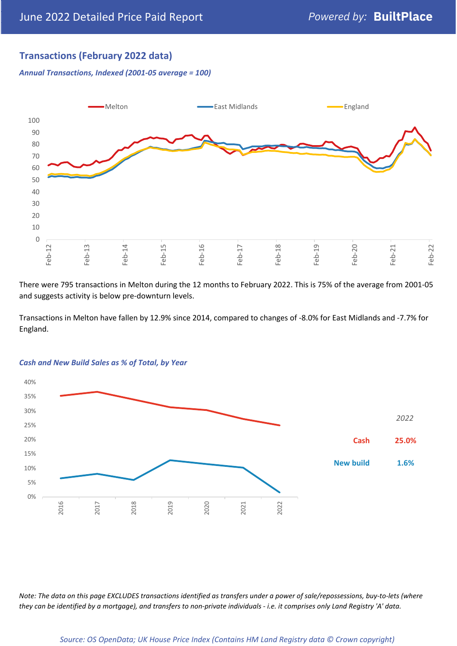# **Transactions (February 2022 data)**

*Annual Transactions, Indexed (2001-05 average = 100)*



There were 795 transactions in Melton during the 12 months to February 2022. This is 75% of the average from 2001-05 and suggests activity is below pre-downturn levels.

Transactions in Melton have fallen by 12.9% since 2014, compared to changes of -8.0% for East Midlands and -7.7% for England.



#### *Cash and New Build Sales as % of Total, by Year*

*Note: The data on this page EXCLUDES transactions identified as transfers under a power of sale/repossessions, buy-to-lets (where they can be identified by a mortgage), and transfers to non-private individuals - i.e. it comprises only Land Registry 'A' data.*